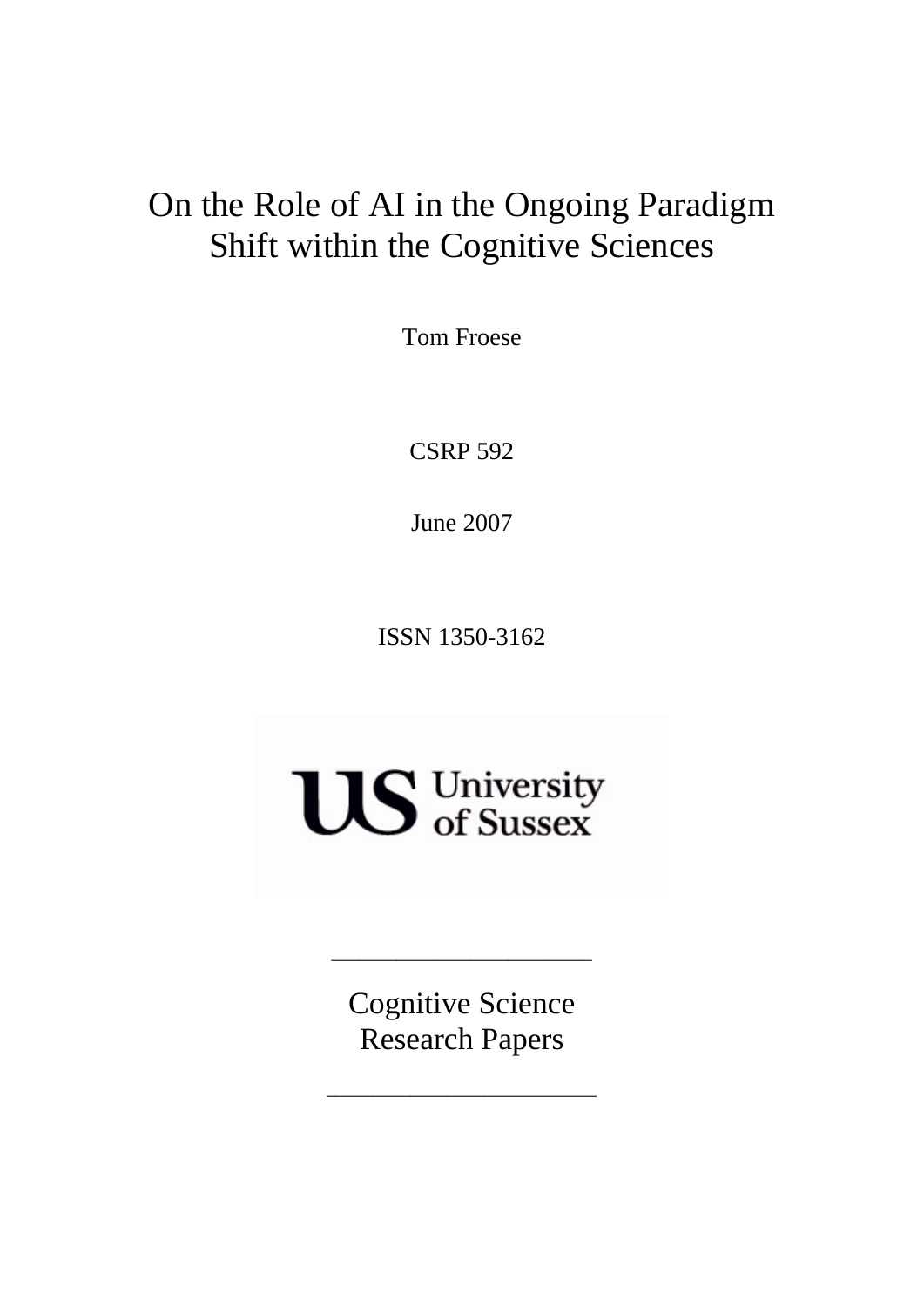## On the Role of AI in the Ongoing Paradigm Shift within the Cognitive Sciences

Tom Froese

CSRP 592

June 2007

ISSN 1350-3162

# **US** University

Cognitive Science Research Papers

\_\_\_\_\_\_\_\_\_\_\_\_\_\_\_\_\_\_\_\_\_\_\_\_\_\_\_\_\_

\_\_\_\_\_\_\_\_\_\_\_\_\_\_\_\_\_\_\_\_\_\_\_\_\_\_\_\_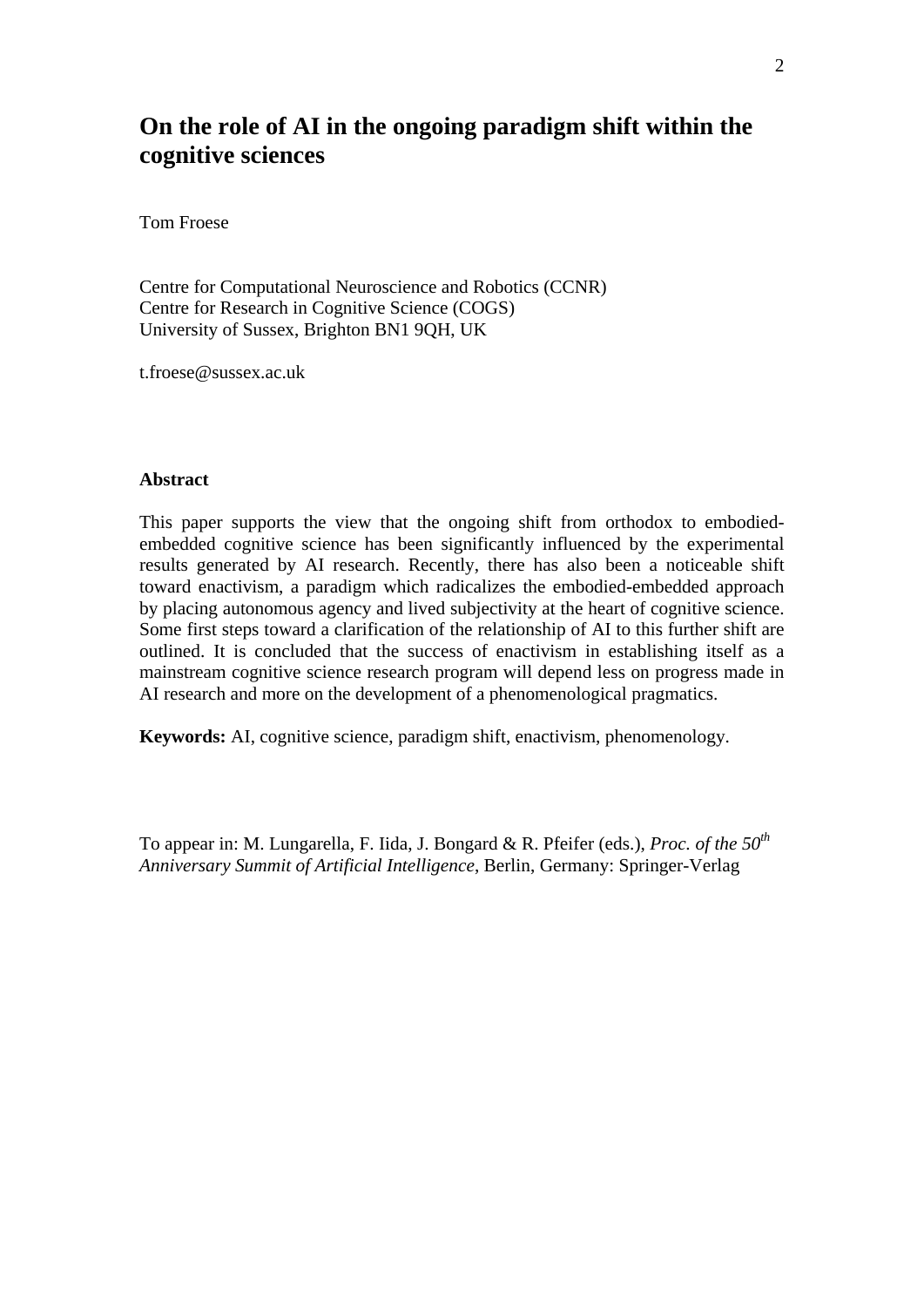### **On the role of AI in the ongoing paradigm shift within the cognitive sciences**

Tom Froese

Centre for Computational Neuroscience and Robotics (CCNR) Centre for Research in Cognitive Science (COGS) University of Sussex, Brighton BN1 9QH, UK

t.froese@sussex.ac.uk

#### **Abstract**

This paper supports the view that the ongoing shift from orthodox to embodiedembedded cognitive science has been significantly influenced by the experimental results generated by AI research. Recently, there has also been a noticeable shift toward enactivism, a paradigm which radicalizes the embodied-embedded approach by placing autonomous agency and lived subjectivity at the heart of cognitive science. Some first steps toward a clarification of the relationship of AI to this further shift are outlined. It is concluded that the success of enactivism in establishing itself as a mainstream cognitive science research program will depend less on progress made in AI research and more on the development of a phenomenological pragmatics.

**Keywords:** AI, cognitive science, paradigm shift, enactivism, phenomenology.

To appear in: M. Lungarella, F. Iida, J. Bongard & R. Pfeifer (eds.), *Proc. of the 50th Anniversary Summit of Artificial Intelligence*, Berlin, Germany: Springer-Verlag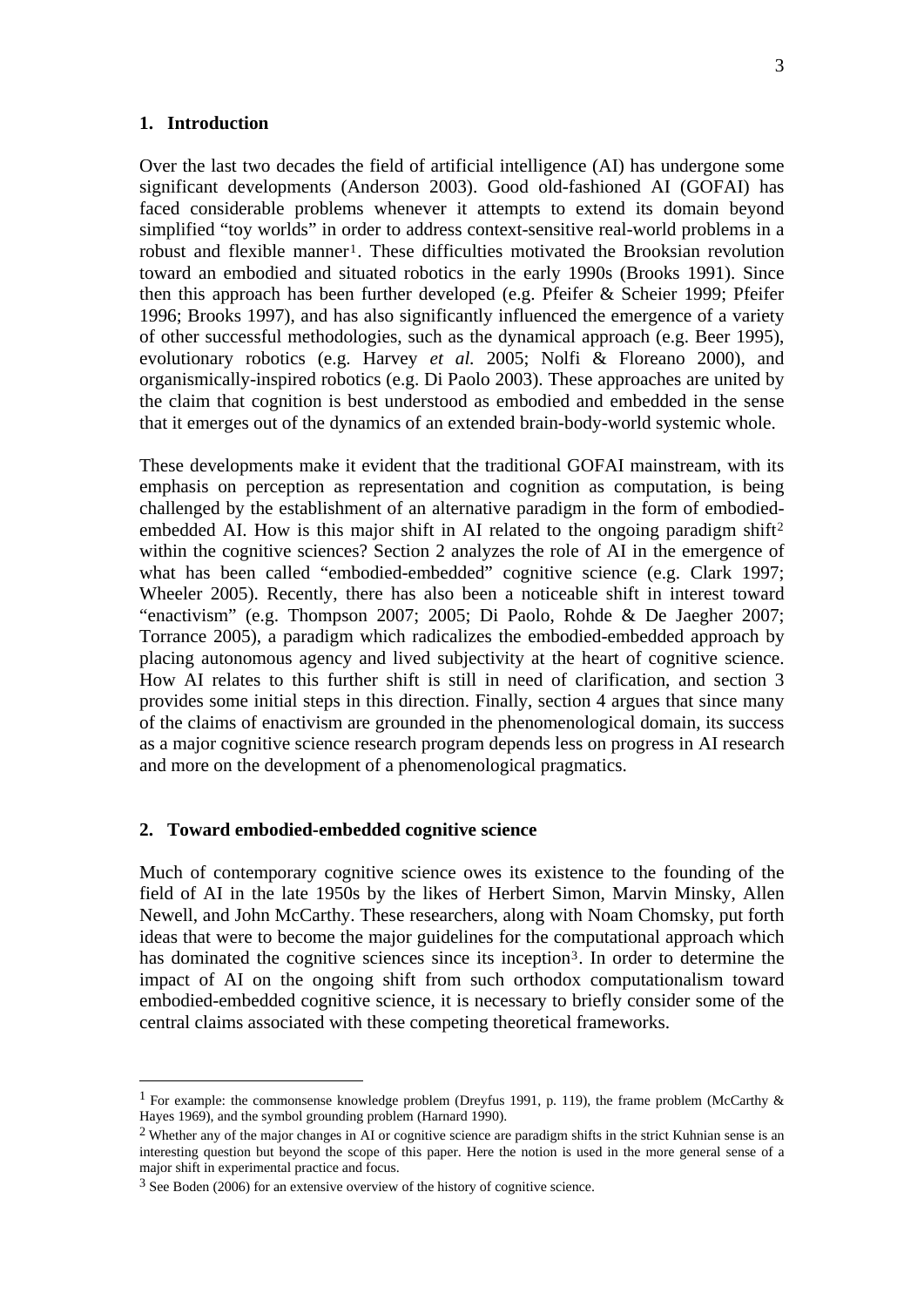#### **1. Introduction**

Over the last two decades the field of artificial intelligence (AI) has undergone some significant developments (Anderson 2003). Good old-fashioned AI (GOFAI) has faced considerable problems whenever it attempts to extend its domain beyond simplified "toy worlds" in order to address context-sensitive real-world problems in a robust and flexible manner<sup>[1](#page-2-0)</sup>. These difficulties motivated the Brooksian revolution toward an embodied and situated robotics in the early 1990s (Brooks 1991). Since then this approach has been further developed (e.g. Pfeifer & Scheier 1999; Pfeifer 1996; Brooks 1997), and has also significantly influenced the emergence of a variety of other successful methodologies, such as the dynamical approach (e.g. Beer 1995), evolutionary robotics (e.g. Harvey *et al.* 2005; Nolfi & Floreano 2000), and organismically-inspired robotics (e.g. Di Paolo 2003). These approaches are united by the claim that cognition is best understood as embodied and embedded in the sense that it emerges out of the dynamics of an extended brain-body-world systemic whole.

These developments make it evident that the traditional GOFAI mainstream, with its emphasis on perception as representation and cognition as computation, is being challenged by the establishment of an alternative paradigm in the form of embodied-embedded AI. How is this major shift in AI related to the ongoing paradigm shift<sup>[2](#page-2-1)</sup> within the cognitive sciences? Section 2 analyzes the role of AI in the emergence of what has been called "embodied-embedded" cognitive science (e.g. Clark 1997; Wheeler 2005). Recently, there has also been a noticeable shift in interest toward "enactivism" (e.g. Thompson 2007; 2005; Di Paolo, Rohde & De Jaegher 2007; Torrance 2005), a paradigm which radicalizes the embodied-embedded approach by placing autonomous agency and lived subjectivity at the heart of cognitive science. How AI relates to this further shift is still in need of clarification, and section 3 provides some initial steps in this direction. Finally, section 4 argues that since many of the claims of enactivism are grounded in the phenomenological domain, its success as a major cognitive science research program depends less on progress in AI research and more on the development of a phenomenological pragmatics.

#### **2. Toward embodied-embedded cognitive science**

 $\overline{a}$ 

Much of contemporary cognitive science owes its existence to the founding of the field of AI in the late 1950s by the likes of Herbert Simon, Marvin Minsky, Allen Newell, and John McCarthy. These researchers, along with Noam Chomsky, put forth ideas that were to become the major guidelines for the computational approach which has dominated the cognitive sciences since its inception<sup>[3](#page-2-2)</sup>. In order to determine the impact of AI on the ongoing shift from such orthodox computationalism toward embodied-embedded cognitive science, it is necessary to briefly consider some of the central claims associated with these competing theoretical frameworks.

<span id="page-2-0"></span><sup>1</sup> For example: the commonsense knowledge problem (Dreyfus 1991, p. 119), the frame problem (McCarthy & Hayes 1969), and the symbol grounding problem (Harnard 1990).

<span id="page-2-1"></span><sup>2</sup> Whether any of the major changes in AI or cognitive science are paradigm shifts in the strict Kuhnian sense is an interesting question but beyond the scope of this paper. Here the notion is used in the more general sense of a major shift in experimental practice and focus.

<span id="page-2-2"></span><sup>3</sup> See Boden (2006) for an extensive overview of the history of cognitive science.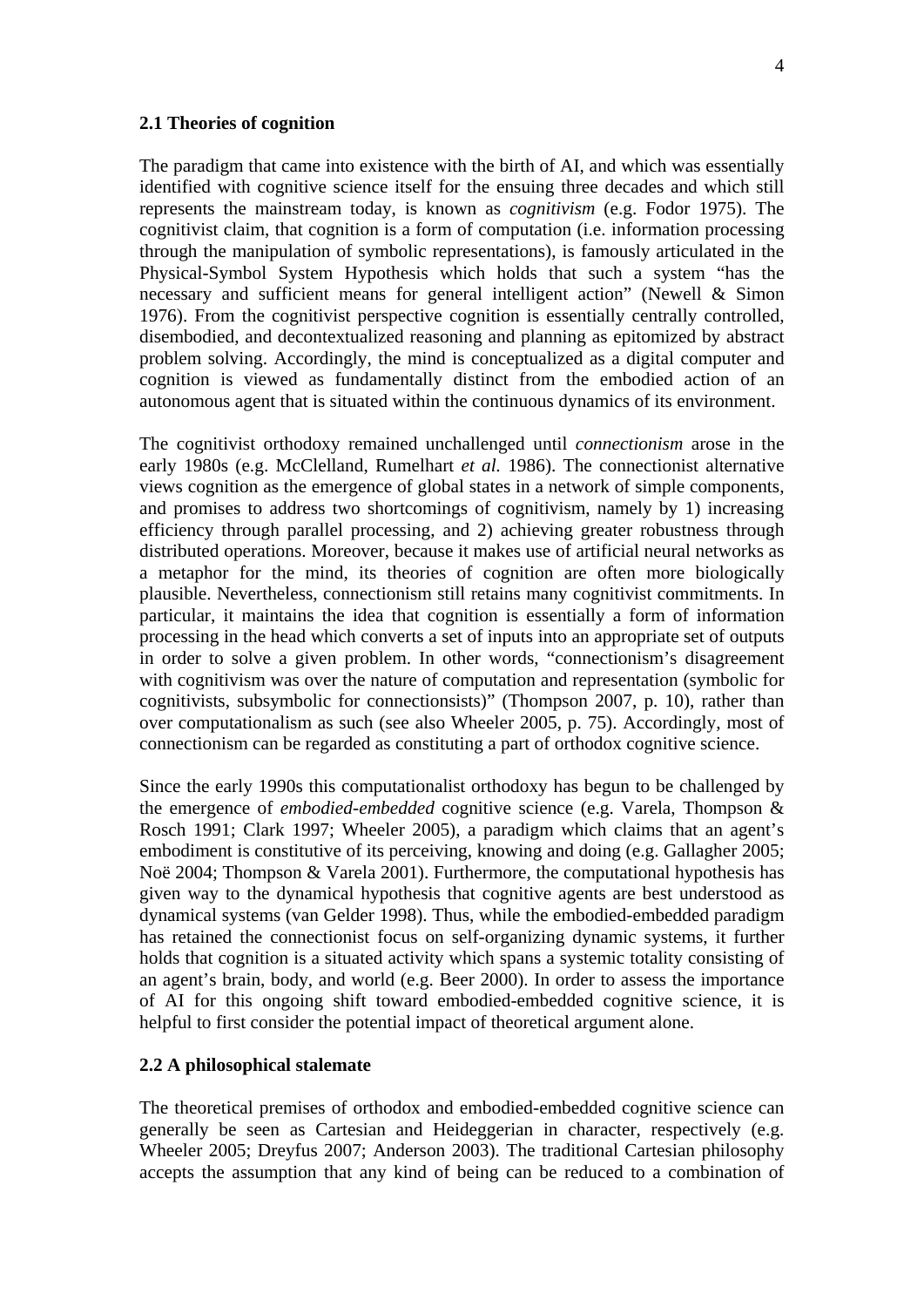#### **2.1 Theories of cognition**

The paradigm that came into existence with the birth of AI, and which was essentially identified with cognitive science itself for the ensuing three decades and which still represents the mainstream today, is known as *cognitivism* (e.g. Fodor 1975). The cognitivist claim, that cognition is a form of computation (i.e. information processing through the manipulation of symbolic representations), is famously articulated in the Physical-Symbol System Hypothesis which holds that such a system "has the necessary and sufficient means for general intelligent action" (Newell & Simon 1976). From the cognitivist perspective cognition is essentially centrally controlled, disembodied, and decontextualized reasoning and planning as epitomized by abstract problem solving. Accordingly, the mind is conceptualized as a digital computer and cognition is viewed as fundamentally distinct from the embodied action of an autonomous agent that is situated within the continuous dynamics of its environment.

The cognitivist orthodoxy remained unchallenged until *connectionism* arose in the early 1980s (e.g. McClelland, Rumelhart *et al.* 1986). The connectionist alternative views cognition as the emergence of global states in a network of simple components, and promises to address two shortcomings of cognitivism, namely by 1) increasing efficiency through parallel processing, and 2) achieving greater robustness through distributed operations. Moreover, because it makes use of artificial neural networks as a metaphor for the mind, its theories of cognition are often more biologically plausible. Nevertheless, connectionism still retains many cognitivist commitments. In particular, it maintains the idea that cognition is essentially a form of information processing in the head which converts a set of inputs into an appropriate set of outputs in order to solve a given problem. In other words, "connectionism's disagreement with cognitivism was over the nature of computation and representation (symbolic for cognitivists, subsymbolic for connectionsists)" (Thompson 2007, p. 10), rather than over computationalism as such (see also Wheeler 2005, p. 75). Accordingly, most of connectionism can be regarded as constituting a part of orthodox cognitive science.

Since the early 1990s this computationalist orthodoxy has begun to be challenged by the emergence of *embodied-embedded* cognitive science (e.g. Varela, Thompson & Rosch 1991; Clark 1997; Wheeler 2005), a paradigm which claims that an agent's embodiment is constitutive of its perceiving, knowing and doing (e.g. Gallagher 2005; Noë 2004; Thompson & Varela 2001). Furthermore, the computational hypothesis has given way to the dynamical hypothesis that cognitive agents are best understood as dynamical systems (van Gelder 1998). Thus, while the embodied-embedded paradigm has retained the connectionist focus on self-organizing dynamic systems, it further holds that cognition is a situated activity which spans a systemic totality consisting of an agent's brain, body, and world (e.g. Beer 2000). In order to assess the importance of AI for this ongoing shift toward embodied-embedded cognitive science, it is helpful to first consider the potential impact of theoretical argument alone.

#### **2.2 A philosophical stalemate**

The theoretical premises of orthodox and embodied-embedded cognitive science can generally be seen as Cartesian and Heideggerian in character, respectively (e.g. Wheeler 2005; Dreyfus 2007; Anderson 2003). The traditional Cartesian philosophy accepts the assumption that any kind of being can be reduced to a combination of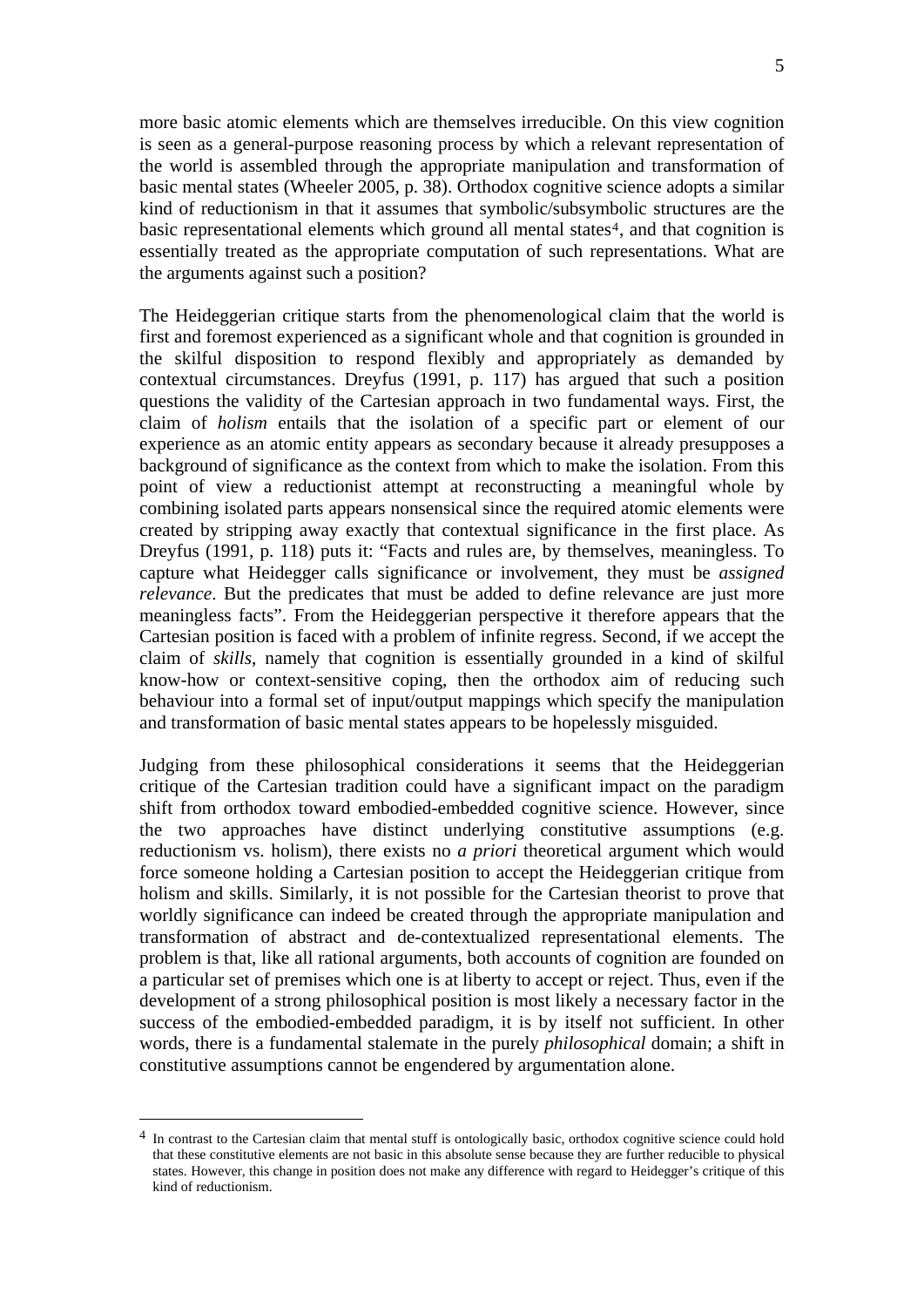more basic atomic elements which are themselves irreducible. On this view cognition is seen as a general-purpose reasoning process by which a relevant representation of the world is assembled through the appropriate manipulation and transformation of basic mental states (Wheeler 2005, p. 38). Orthodox cognitive science adopts a similar kind of reductionism in that it assumes that symbolic/subsymbolic structures are the basic representational elements which ground all mental states<sup>[4](#page-4-0)</sup>, and that cognition is essentially treated as the appropriate computation of such representations. What are the arguments against such a position?

The Heideggerian critique starts from the phenomenological claim that the world is first and foremost experienced as a significant whole and that cognition is grounded in the skilful disposition to respond flexibly and appropriately as demanded by contextual circumstances. Dreyfus (1991, p. 117) has argued that such a position questions the validity of the Cartesian approach in two fundamental ways. First, the claim of *holism* entails that the isolation of a specific part or element of our experience as an atomic entity appears as secondary because it already presupposes a background of significance as the context from which to make the isolation. From this point of view a reductionist attempt at reconstructing a meaningful whole by combining isolated parts appears nonsensical since the required atomic elements were created by stripping away exactly that contextual significance in the first place. As Dreyfus (1991, p. 118) puts it: "Facts and rules are, by themselves, meaningless. To capture what Heidegger calls significance or involvement, they must be *assigned relevance*. But the predicates that must be added to define relevance are just more meaningless facts". From the Heideggerian perspective it therefore appears that the Cartesian position is faced with a problem of infinite regress. Second, if we accept the claim of *skills*, namely that cognition is essentially grounded in a kind of skilful know-how or context-sensitive coping, then the orthodox aim of reducing such behaviour into a formal set of input/output mappings which specify the manipulation and transformation of basic mental states appears to be hopelessly misguided.

Judging from these philosophical considerations it seems that the Heideggerian critique of the Cartesian tradition could have a significant impact on the paradigm shift from orthodox toward embodied-embedded cognitive science. However, since the two approaches have distinct underlying constitutive assumptions (e.g. reductionism vs. holism), there exists no *a priori* theoretical argument which would force someone holding a Cartesian position to accept the Heideggerian critique from holism and skills. Similarly, it is not possible for the Cartesian theorist to prove that worldly significance can indeed be created through the appropriate manipulation and transformation of abstract and de-contextualized representational elements. The problem is that, like all rational arguments, both accounts of cognition are founded on a particular set of premises which one is at liberty to accept or reject. Thus, even if the development of a strong philosophical position is most likely a necessary factor in the success of the embodied-embedded paradigm, it is by itself not sufficient. In other words, there is a fundamental stalemate in the purely *philosophical* domain; a shift in constitutive assumptions cannot be engendered by argumentation alone.

 $\overline{a}$ 

<span id="page-4-0"></span><sup>&</sup>lt;sup>4</sup> In contrast to the Cartesian claim that mental stuff is ontologically basic, orthodox cognitive science could hold that these constitutive elements are not basic in this absolute sense because they are further reducible to physical states. However, this change in position does not make any difference with regard to Heidegger's critique of this kind of reductionism.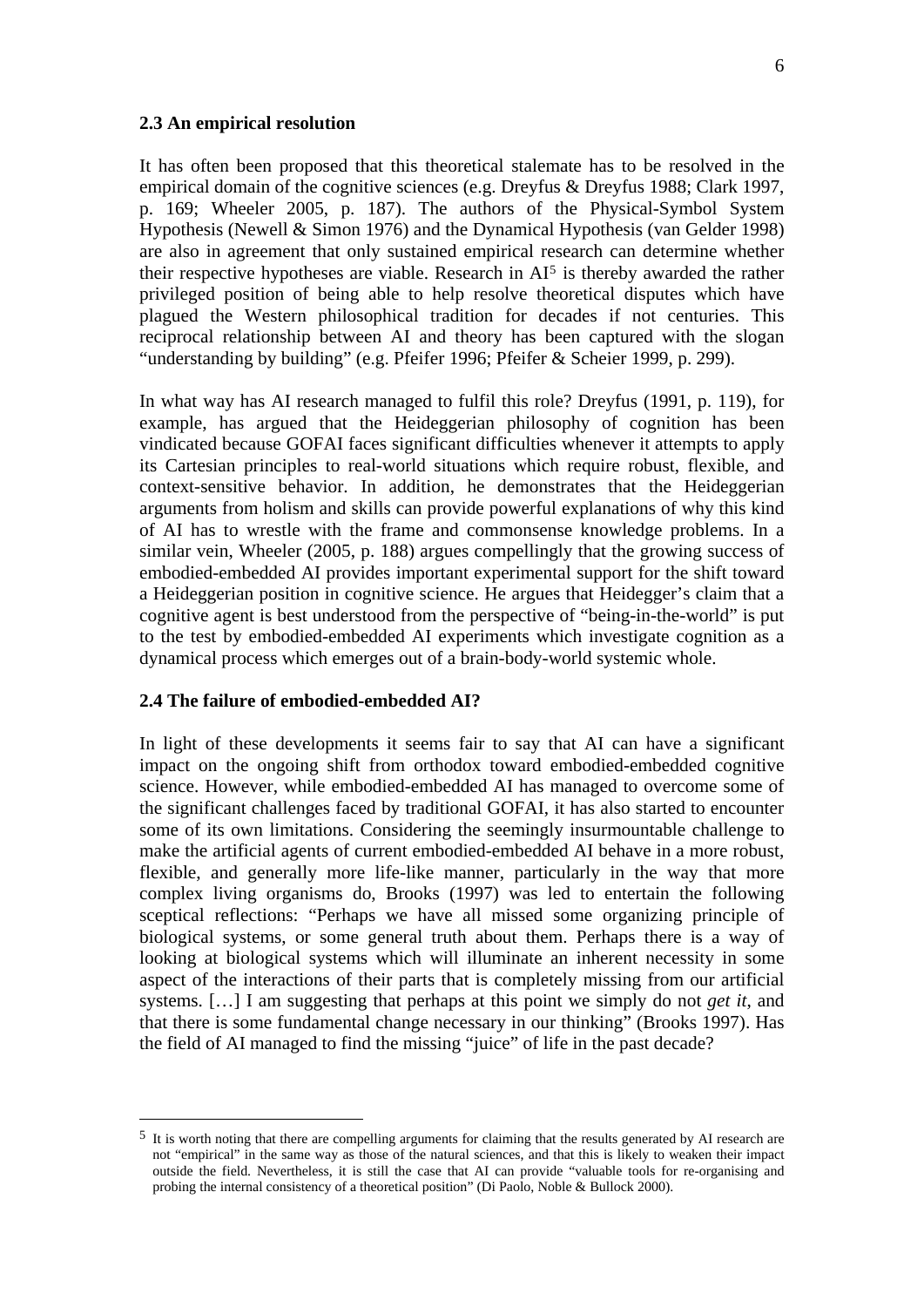#### **2.3 An empirical resolution**

It has often been proposed that this theoretical stalemate has to be resolved in the empirical domain of the cognitive sciences (e.g. Dreyfus & Dreyfus 1988; Clark 1997, p. 169; Wheeler 2005, p. 187). The authors of the Physical-Symbol System Hypothesis (Newell & Simon 1976) and the Dynamical Hypothesis (van Gelder 1998) are also in agreement that only sustained empirical research can determine whether their respective hypotheses are viable. Research in  $AI<sup>5</sup>$  $AI<sup>5</sup>$  $AI<sup>5</sup>$  is thereby awarded the rather privileged position of being able to help resolve theoretical disputes which have plagued the Western philosophical tradition for decades if not centuries. This reciprocal relationship between AI and theory has been captured with the slogan "understanding by building" (e.g. Pfeifer 1996; Pfeifer & Scheier 1999, p. 299).

In what way has AI research managed to fulfil this role? Dreyfus (1991, p. 119), for example, has argued that the Heideggerian philosophy of cognition has been vindicated because GOFAI faces significant difficulties whenever it attempts to apply its Cartesian principles to real-world situations which require robust, flexible, and context-sensitive behavior. In addition, he demonstrates that the Heideggerian arguments from holism and skills can provide powerful explanations of why this kind of AI has to wrestle with the frame and commonsense knowledge problems. In a similar vein, Wheeler (2005, p. 188) argues compellingly that the growing success of embodied-embedded AI provides important experimental support for the shift toward a Heideggerian position in cognitive science. He argues that Heidegger's claim that a cognitive agent is best understood from the perspective of "being-in-the-world" is put to the test by embodied-embedded AI experiments which investigate cognition as a dynamical process which emerges out of a brain-body-world systemic whole.

#### **2.4 The failure of embodied-embedded AI?**

 $\overline{a}$ 

In light of these developments it seems fair to say that AI can have a significant impact on the ongoing shift from orthodox toward embodied-embedded cognitive science. However, while embodied-embedded AI has managed to overcome some of the significant challenges faced by traditional GOFAI, it has also started to encounter some of its own limitations. Considering the seemingly insurmountable challenge to make the artificial agents of current embodied-embedded AI behave in a more robust, flexible, and generally more life-like manner, particularly in the way that more complex living organisms do, Brooks (1997) was led to entertain the following sceptical reflections: "Perhaps we have all missed some organizing principle of biological systems, or some general truth about them. Perhaps there is a way of looking at biological systems which will illuminate an inherent necessity in some aspect of the interactions of their parts that is completely missing from our artificial systems. […] I am suggesting that perhaps at this point we simply do not *get it*, and that there is some fundamental change necessary in our thinking" (Brooks 1997). Has the field of AI managed to find the missing "juice" of life in the past decade?

<span id="page-5-0"></span><sup>5</sup> It is worth noting that there are compelling arguments for claiming that the results generated by AI research are not "empirical" in the same way as those of the natural sciences, and that this is likely to weaken their impact outside the field. Nevertheless, it is still the case that AI can provide "valuable tools for re-organising and probing the internal consistency of a theoretical position" (Di Paolo, Noble & Bullock 2000).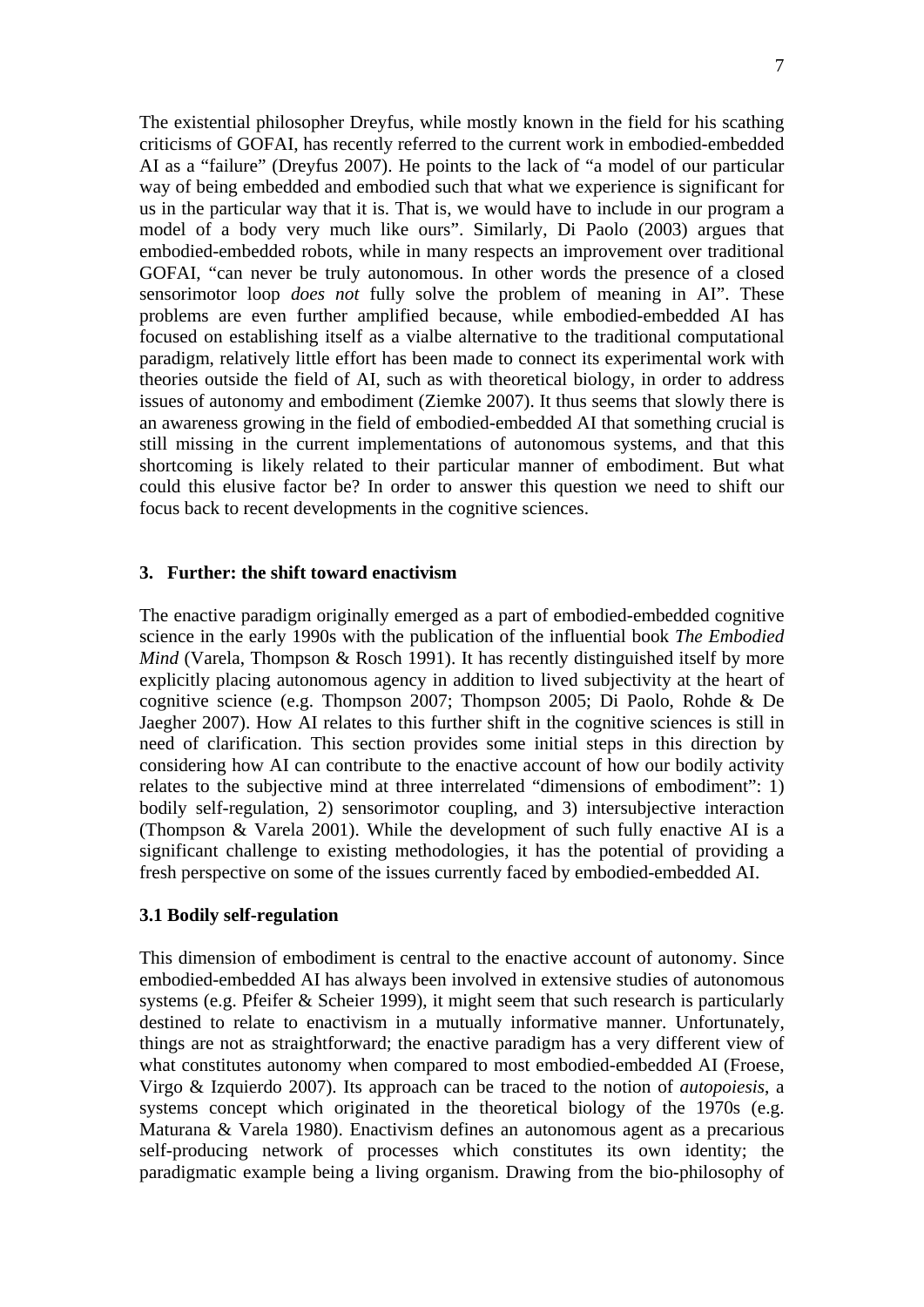The existential philosopher Dreyfus, while mostly known in the field for his scathing criticisms of GOFAI, has recently referred to the current work in embodied-embedded AI as a "failure" (Dreyfus 2007). He points to the lack of "a model of our particular way of being embedded and embodied such that what we experience is significant for us in the particular way that it is. That is, we would have to include in our program a model of a body very much like ours". Similarly, Di Paolo (2003) argues that embodied-embedded robots, while in many respects an improvement over traditional GOFAI, "can never be truly autonomous. In other words the presence of a closed sensorimotor loop *does not* fully solve the problem of meaning in AI". These problems are even further amplified because, while embodied-embedded AI has focused on establishing itself as a vialbe alternative to the traditional computational paradigm, relatively little effort has been made to connect its experimental work with theories outside the field of AI, such as with theoretical biology, in order to address issues of autonomy and embodiment (Ziemke 2007). It thus seems that slowly there is an awareness growing in the field of embodied-embedded AI that something crucial is still missing in the current implementations of autonomous systems, and that this shortcoming is likely related to their particular manner of embodiment. But what could this elusive factor be? In order to answer this question we need to shift our focus back to recent developments in the cognitive sciences.

#### **3. Further: the shift toward enactivism**

The enactive paradigm originally emerged as a part of embodied-embedded cognitive science in the early 1990s with the publication of the influential book *The Embodied Mind* (Varela, Thompson & Rosch 1991). It has recently distinguished itself by more explicitly placing autonomous agency in addition to lived subjectivity at the heart of cognitive science (e.g. Thompson 2007; Thompson 2005; Di Paolo, Rohde & De Jaegher 2007). How AI relates to this further shift in the cognitive sciences is still in need of clarification. This section provides some initial steps in this direction by considering how AI can contribute to the enactive account of how our bodily activity relates to the subjective mind at three interrelated "dimensions of embodiment": 1) bodily self-regulation, 2) sensorimotor coupling, and 3) intersubjective interaction (Thompson & Varela 2001). While the development of such fully enactive AI is a significant challenge to existing methodologies, it has the potential of providing a fresh perspective on some of the issues currently faced by embodied-embedded AI.

#### **3.1 Bodily self-regulation**

This dimension of embodiment is central to the enactive account of autonomy. Since embodied-embedded AI has always been involved in extensive studies of autonomous systems (e.g. Pfeifer & Scheier 1999), it might seem that such research is particularly destined to relate to enactivism in a mutually informative manner. Unfortunately, things are not as straightforward; the enactive paradigm has a very different view of what constitutes autonomy when compared to most embodied-embedded AI (Froese, Virgo & Izquierdo 2007). Its approach can be traced to the notion of *autopoiesis*, a systems concept which originated in the theoretical biology of the 1970s (e.g. Maturana & Varela 1980). Enactivism defines an autonomous agent as a precarious self-producing network of processes which constitutes its own identity; the paradigmatic example being a living organism. Drawing from the bio-philosophy of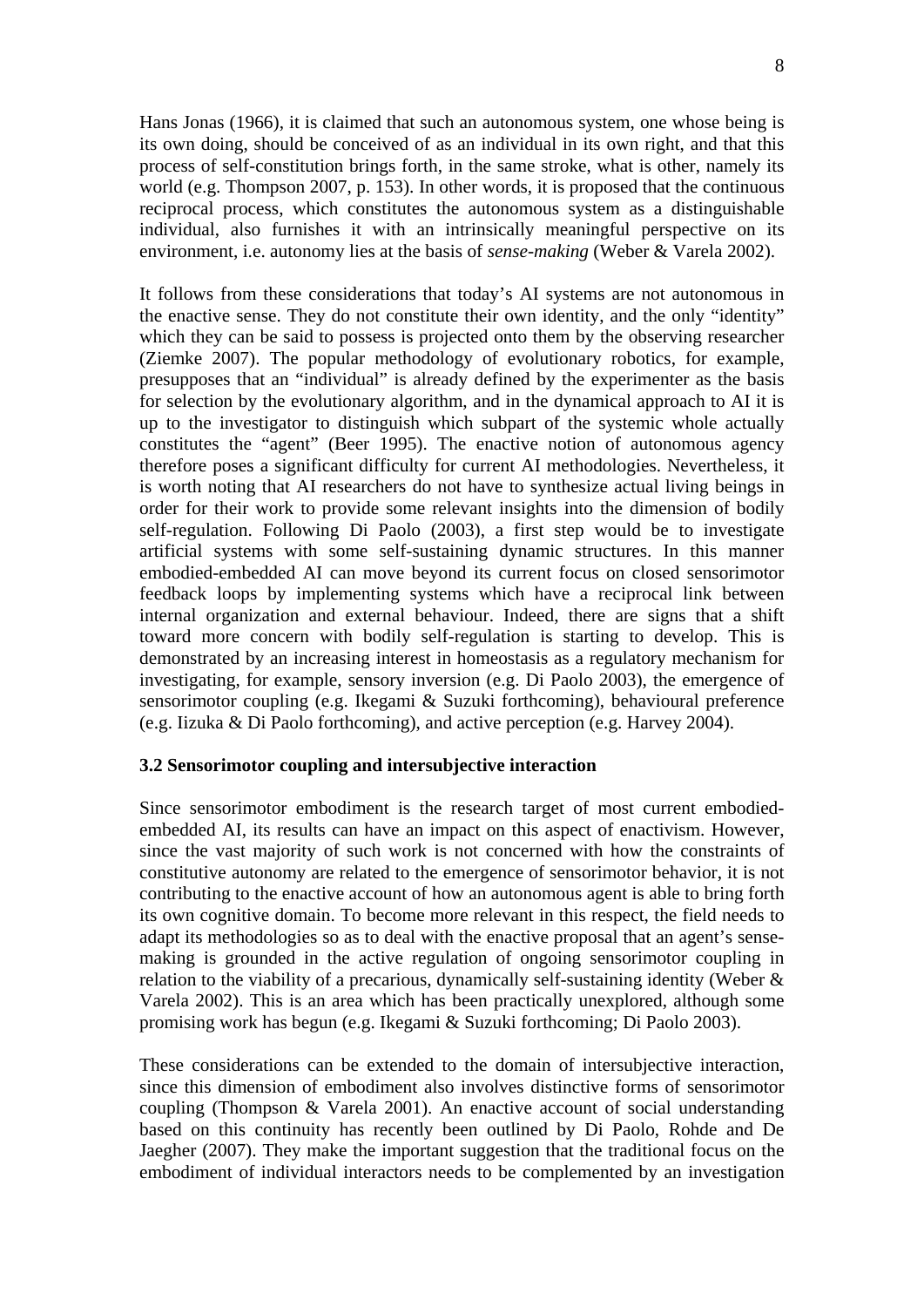Hans Jonas (1966), it is claimed that such an autonomous system, one whose being is its own doing, should be conceived of as an individual in its own right, and that this process of self-constitution brings forth, in the same stroke, what is other, namely its world (e.g. Thompson 2007, p. 153). In other words, it is proposed that the continuous reciprocal process, which constitutes the autonomous system as a distinguishable individual, also furnishes it with an intrinsically meaningful perspective on its environment, i.e. autonomy lies at the basis of *sense-making* (Weber & Varela 2002).

It follows from these considerations that today's AI systems are not autonomous in the enactive sense. They do not constitute their own identity, and the only "identity" which they can be said to possess is projected onto them by the observing researcher (Ziemke 2007). The popular methodology of evolutionary robotics, for example, presupposes that an "individual" is already defined by the experimenter as the basis for selection by the evolutionary algorithm, and in the dynamical approach to AI it is up to the investigator to distinguish which subpart of the systemic whole actually constitutes the "agent" (Beer 1995). The enactive notion of autonomous agency therefore poses a significant difficulty for current AI methodologies. Nevertheless, it is worth noting that AI researchers do not have to synthesize actual living beings in order for their work to provide some relevant insights into the dimension of bodily self-regulation. Following Di Paolo (2003), a first step would be to investigate artificial systems with some self-sustaining dynamic structures. In this manner embodied-embedded AI can move beyond its current focus on closed sensorimotor feedback loops by implementing systems which have a reciprocal link between internal organization and external behaviour. Indeed, there are signs that a shift toward more concern with bodily self-regulation is starting to develop. This is demonstrated by an increasing interest in homeostasis as a regulatory mechanism for investigating, for example, sensory inversion (e.g. Di Paolo 2003), the emergence of sensorimotor coupling (e.g. Ikegami & Suzuki forthcoming), behavioural preference (e.g. Iizuka & Di Paolo forthcoming), and active perception (e.g. Harvey 2004).

#### **3.2 Sensorimotor coupling and intersubjective interaction**

Since sensorimotor embodiment is the research target of most current embodiedembedded AI, its results can have an impact on this aspect of enactivism. However, since the vast majority of such work is not concerned with how the constraints of constitutive autonomy are related to the emergence of sensorimotor behavior, it is not contributing to the enactive account of how an autonomous agent is able to bring forth its own cognitive domain. To become more relevant in this respect, the field needs to adapt its methodologies so as to deal with the enactive proposal that an agent's sensemaking is grounded in the active regulation of ongoing sensorimotor coupling in relation to the viability of a precarious, dynamically self-sustaining identity (Weber & Varela 2002). This is an area which has been practically unexplored, although some promising work has begun (e.g. Ikegami & Suzuki forthcoming; Di Paolo 2003).

These considerations can be extended to the domain of intersubjective interaction, since this dimension of embodiment also involves distinctive forms of sensorimotor coupling (Thompson & Varela 2001). An enactive account of social understanding based on this continuity has recently been outlined by Di Paolo, Rohde and De Jaegher (2007). They make the important suggestion that the traditional focus on the embodiment of individual interactors needs to be complemented by an investigation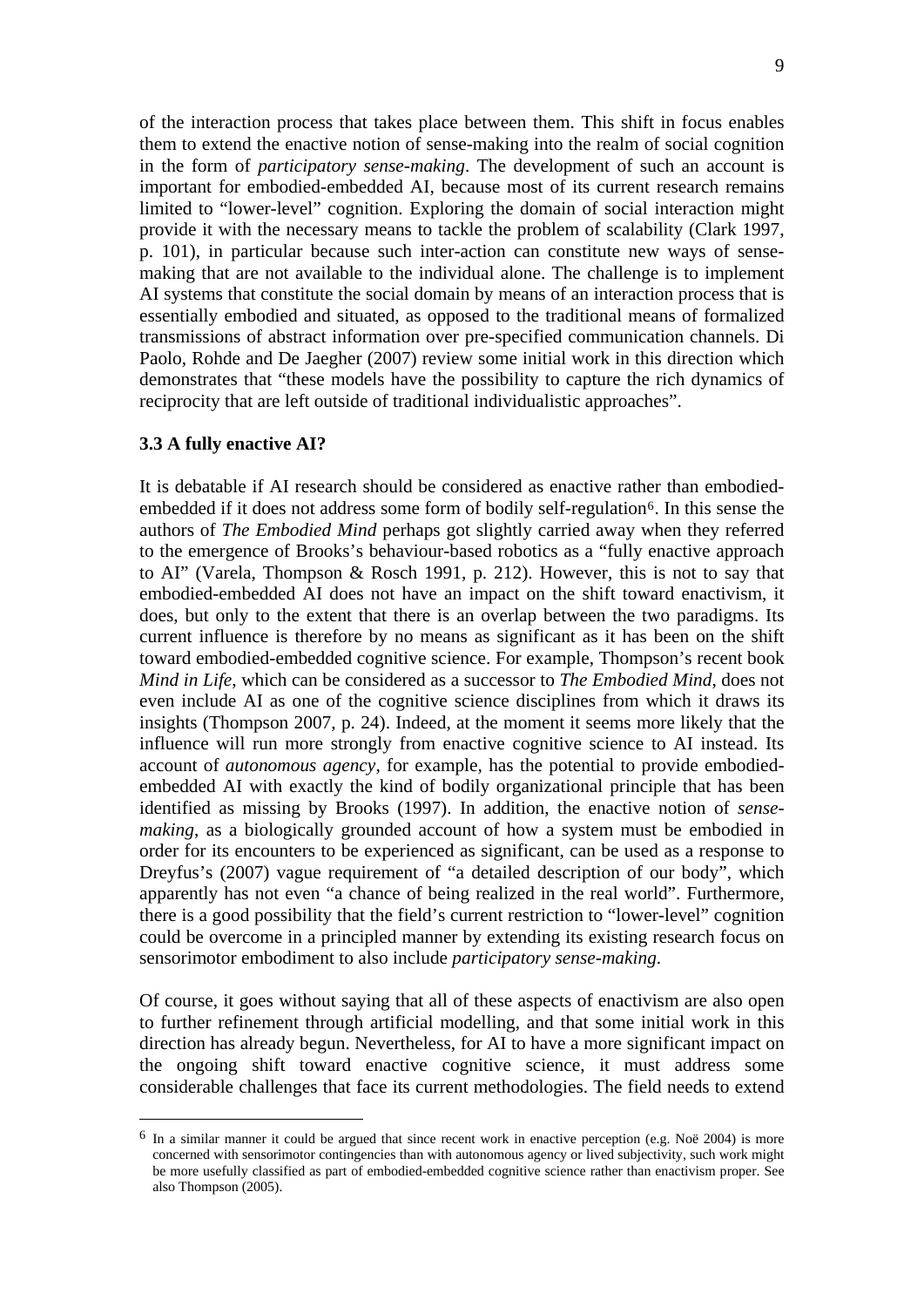of the interaction process that takes place between them. This shift in focus enables them to extend the enactive notion of sense-making into the realm of social cognition in the form of *participatory sense-making*. The development of such an account is important for embodied-embedded AI, because most of its current research remains limited to "lower-level" cognition. Exploring the domain of social interaction might provide it with the necessary means to tackle the problem of scalability (Clark 1997, p. 101), in particular because such inter-action can constitute new ways of sensemaking that are not available to the individual alone. The challenge is to implement AI systems that constitute the social domain by means of an interaction process that is essentially embodied and situated, as opposed to the traditional means of formalized transmissions of abstract information over pre-specified communication channels. Di Paolo, Rohde and De Jaegher (2007) review some initial work in this direction which demonstrates that "these models have the possibility to capture the rich dynamics of reciprocity that are left outside of traditional individualistic approaches".

#### **3.3 A fully enactive AI?**

 $\overline{a}$ 

It is debatable if AI research should be considered as enactive rather than embodiedembedded if it does not address some form of bodily self-regulation<sup>6</sup>. In this sense the authors of *The Embodied Mind* perhaps got slightly carried away when they referred to the emergence of Brooks's behaviour-based robotics as a "fully enactive approach to AI" (Varela, Thompson & Rosch 1991, p. 212). However, this is not to say that embodied-embedded AI does not have an impact on the shift toward enactivism, it does, but only to the extent that there is an overlap between the two paradigms. Its current influence is therefore by no means as significant as it has been on the shift toward embodied-embedded cognitive science. For example, Thompson's recent book *Mind in Life*, which can be considered as a successor to *The Embodied Mind*, does not even include AI as one of the cognitive science disciplines from which it draws its insights (Thompson 2007, p. 24). Indeed, at the moment it seems more likely that the influence will run more strongly from enactive cognitive science to AI instead. Its account of *autonomous agency*, for example, has the potential to provide embodiedembedded AI with exactly the kind of bodily organizational principle that has been identified as missing by Brooks (1997). In addition, the enactive notion of *sensemaking*, as a biologically grounded account of how a system must be embodied in order for its encounters to be experienced as significant, can be used as a response to Dreyfus's (2007) vague requirement of "a detailed description of our body", which apparently has not even "a chance of being realized in the real world". Furthermore, there is a good possibility that the field's current restriction to "lower-level" cognition could be overcome in a principled manner by extending its existing research focus on sensorimotor embodiment to also include *participatory sense-making*.

Of course, it goes without saying that all of these aspects of enactivism are also open to further refinement through artificial modelling, and that some initial work in this direction has already begun. Nevertheless, for AI to have a more significant impact on the ongoing shift toward enactive cognitive science, it must address some considerable challenges that face its current methodologies. The field needs to extend

<span id="page-8-0"></span><sup>6</sup> In a similar manner it could be argued that since recent work in enactive perception (e.g. Noë 2004) is more concerned with sensorimotor contingencies than with autonomous agency or lived subjectivity, such work might be more usefully classified as part of embodied-embedded cognitive science rather than enactivism proper. See also Thompson (2005).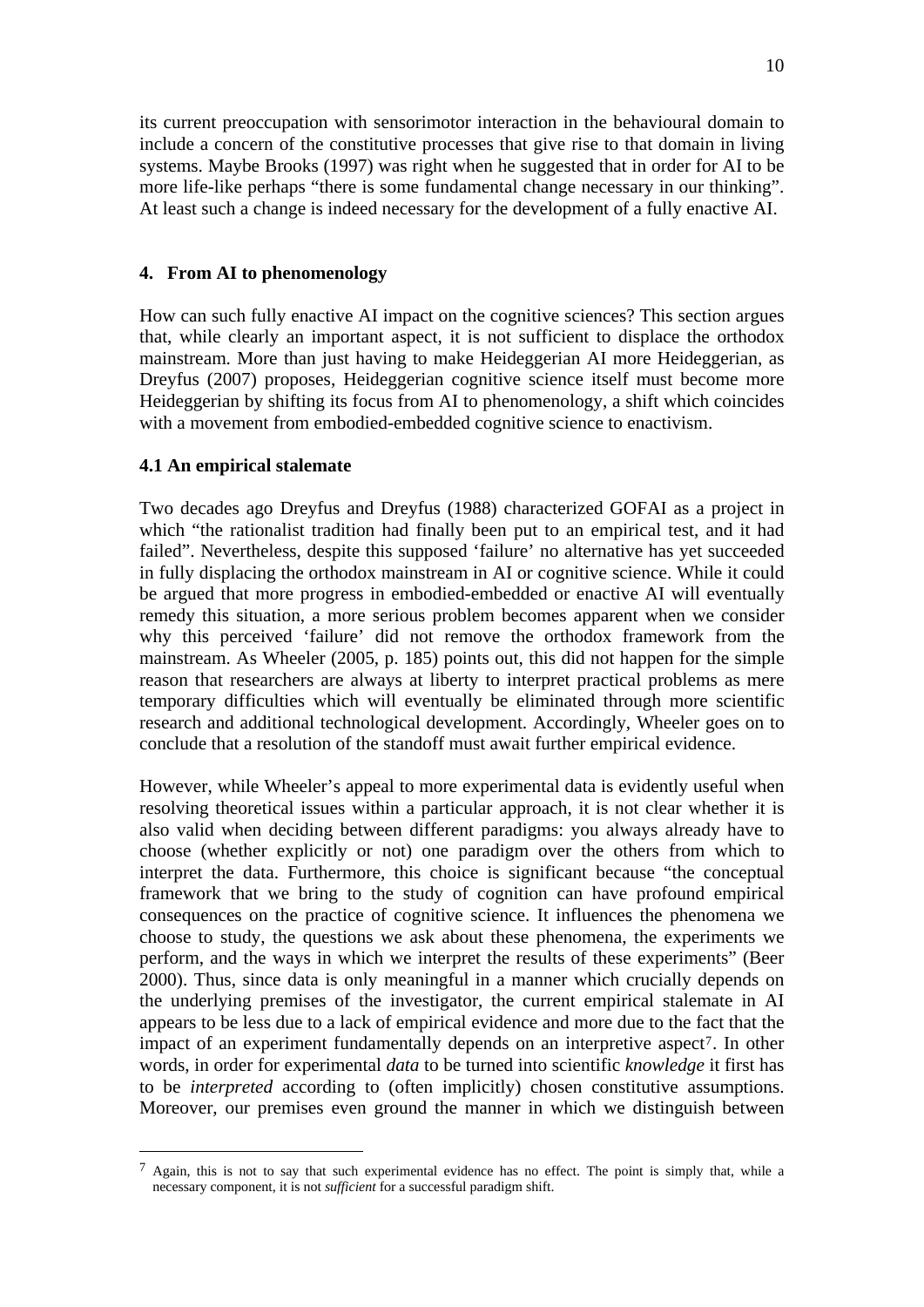10

its current preoccupation with sensorimotor interaction in the behavioural domain to include a concern of the constitutive processes that give rise to that domain in living systems. Maybe Brooks (1997) was right when he suggested that in order for AI to be more life-like perhaps "there is some fundamental change necessary in our thinking". At least such a change is indeed necessary for the development of a fully enactive AI.

#### **4. From AI to phenomenology**

How can such fully enactive AI impact on the cognitive sciences? This section argues that, while clearly an important aspect, it is not sufficient to displace the orthodox mainstream. More than just having to make Heideggerian AI more Heideggerian, as Dreyfus (2007) proposes, Heideggerian cognitive science itself must become more Heideggerian by shifting its focus from AI to phenomenology, a shift which coincides with a movement from embodied-embedded cognitive science to enactivism.

#### **4.1 An empirical stalemate**

 $\overline{a}$ 

Two decades ago Dreyfus and Dreyfus (1988) characterized GOFAI as a project in which "the rationalist tradition had finally been put to an empirical test, and it had failed". Nevertheless, despite this supposed 'failure' no alternative has yet succeeded in fully displacing the orthodox mainstream in AI or cognitive science. While it could be argued that more progress in embodied-embedded or enactive AI will eventually remedy this situation, a more serious problem becomes apparent when we consider why this perceived 'failure' did not remove the orthodox framework from the mainstream. As Wheeler (2005, p. 185) points out, this did not happen for the simple reason that researchers are always at liberty to interpret practical problems as mere temporary difficulties which will eventually be eliminated through more scientific research and additional technological development. Accordingly, Wheeler goes on to conclude that a resolution of the standoff must await further empirical evidence.

However, while Wheeler's appeal to more experimental data is evidently useful when resolving theoretical issues within a particular approach, it is not clear whether it is also valid when deciding between different paradigms: you always already have to choose (whether explicitly or not) one paradigm over the others from which to interpret the data. Furthermore, this choice is significant because "the conceptual framework that we bring to the study of cognition can have profound empirical consequences on the practice of cognitive science. It influences the phenomena we choose to study, the questions we ask about these phenomena, the experiments we perform, and the ways in which we interpret the results of these experiments" (Beer 2000). Thus, since data is only meaningful in a manner which crucially depends on the underlying premises of the investigator, the current empirical stalemate in AI appears to be less due to a lack of empirical evidence and more due to the fact that the impact of an experiment fundamentally depends on an interpretive aspect<sup>[7](#page-9-0)</sup>. In other words, in order for experimental *data* to be turned into scientific *knowledge* it first has to be *interpreted* according to (often implicitly) chosen constitutive assumptions. Moreover, our premises even ground the manner in which we distinguish between

<span id="page-9-0"></span><sup>7</sup> Again, this is not to say that such experimental evidence has no effect. The point is simply that, while a necessary component, it is not *sufficient* for a successful paradigm shift.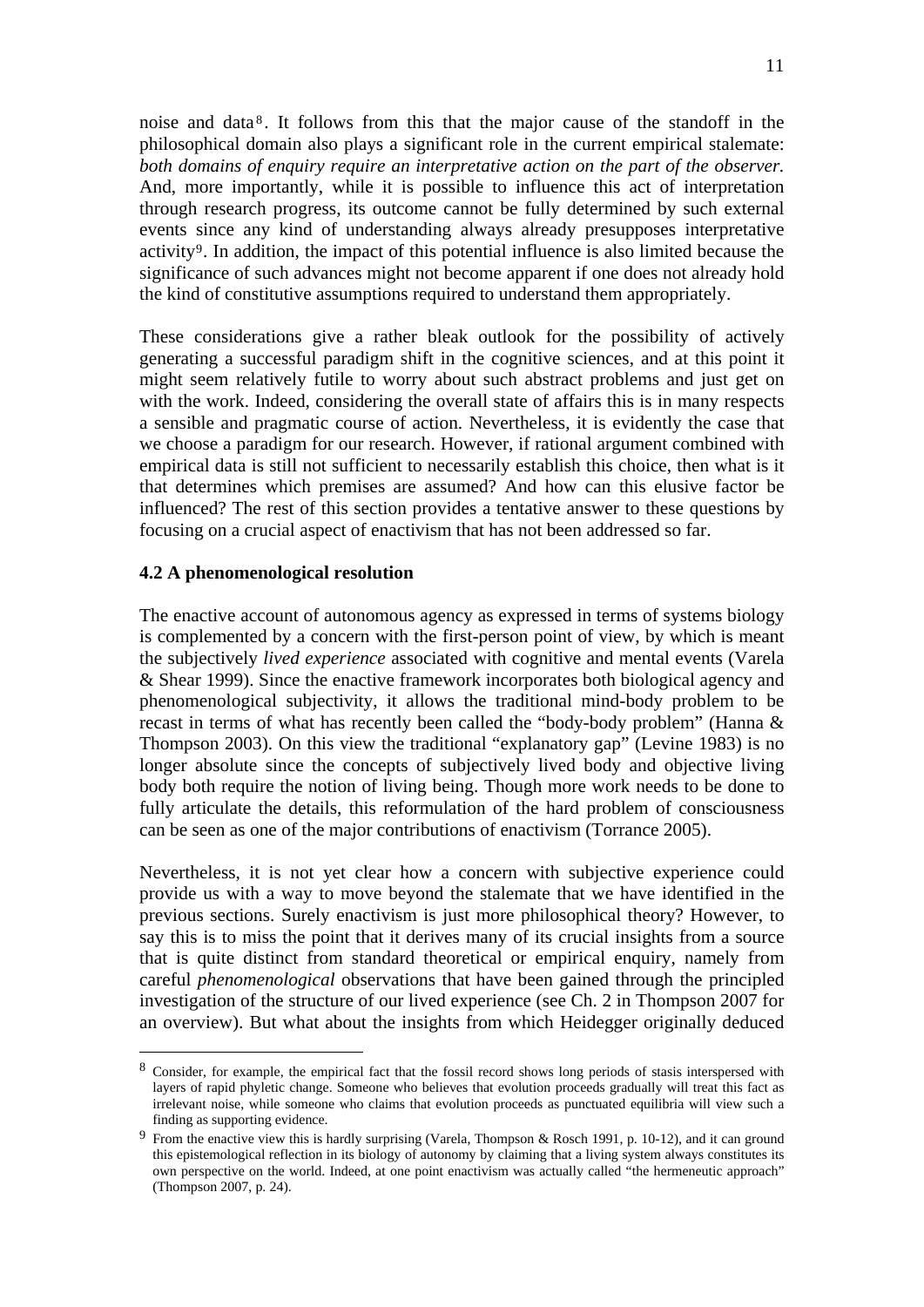noise and data<sup>[8](#page-10-0)</sup>. It follows from this that the major cause of the standoff in the philosophical domain also plays a significant role in the current empirical stalemate: *both domains of enquiry require an interpretative action on the part of the observer.* And, more importantly, while it is possible to influence this act of interpretation through research progress, its outcome cannot be fully determined by such external events since any kind of understanding always already presupposes interpretative activity[9](#page-10-1). In addition, the impact of this potential influence is also limited because the significance of such advances might not become apparent if one does not already hold the kind of constitutive assumptions required to understand them appropriately.

These considerations give a rather bleak outlook for the possibility of actively generating a successful paradigm shift in the cognitive sciences, and at this point it might seem relatively futile to worry about such abstract problems and just get on with the work. Indeed, considering the overall state of affairs this is in many respects a sensible and pragmatic course of action. Nevertheless, it is evidently the case that we choose a paradigm for our research. However, if rational argument combined with empirical data is still not sufficient to necessarily establish this choice, then what is it that determines which premises are assumed? And how can this elusive factor be influenced? The rest of this section provides a tentative answer to these questions by focusing on a crucial aspect of enactivism that has not been addressed so far.

#### **4.2 A phenomenological resolution**

 $\overline{a}$ 

The enactive account of autonomous agency as expressed in terms of systems biology is complemented by a concern with the first-person point of view, by which is meant the subjectively *lived experience* associated with cognitive and mental events (Varela & Shear 1999). Since the enactive framework incorporates both biological agency and phenomenological subjectivity, it allows the traditional mind-body problem to be recast in terms of what has recently been called the "body-body problem" (Hanna & Thompson 2003). On this view the traditional "explanatory gap" (Levine 1983) is no longer absolute since the concepts of subjectively lived body and objective living body both require the notion of living being. Though more work needs to be done to fully articulate the details, this reformulation of the hard problem of consciousness can be seen as one of the major contributions of enactivism (Torrance 2005).

Nevertheless, it is not yet clear how a concern with subjective experience could provide us with a way to move beyond the stalemate that we have identified in the previous sections. Surely enactivism is just more philosophical theory? However, to say this is to miss the point that it derives many of its crucial insights from a source that is quite distinct from standard theoretical or empirical enquiry, namely from careful *phenomenological* observations that have been gained through the principled investigation of the structure of our lived experience (see Ch. 2 in Thompson 2007 for an overview). But what about the insights from which Heidegger originally deduced

<span id="page-10-0"></span><sup>8</sup> Consider, for example, the empirical fact that the fossil record shows long periods of stasis interspersed with layers of rapid phyletic change. Someone who believes that evolution proceeds gradually will treat this fact as irrelevant noise, while someone who claims that evolution proceeds as punctuated equilibria will view such a finding as supporting evidence.

<span id="page-10-1"></span><sup>&</sup>lt;sup>9</sup> From the enactive view this is hardly surprising (Varela, Thompson & Rosch 1991, p. 10-12), and it can ground this epistemological reflection in its biology of autonomy by claiming that a living system always constitutes its own perspective on the world. Indeed, at one point enactivism was actually called "the hermeneutic approach" (Thompson 2007, p. 24).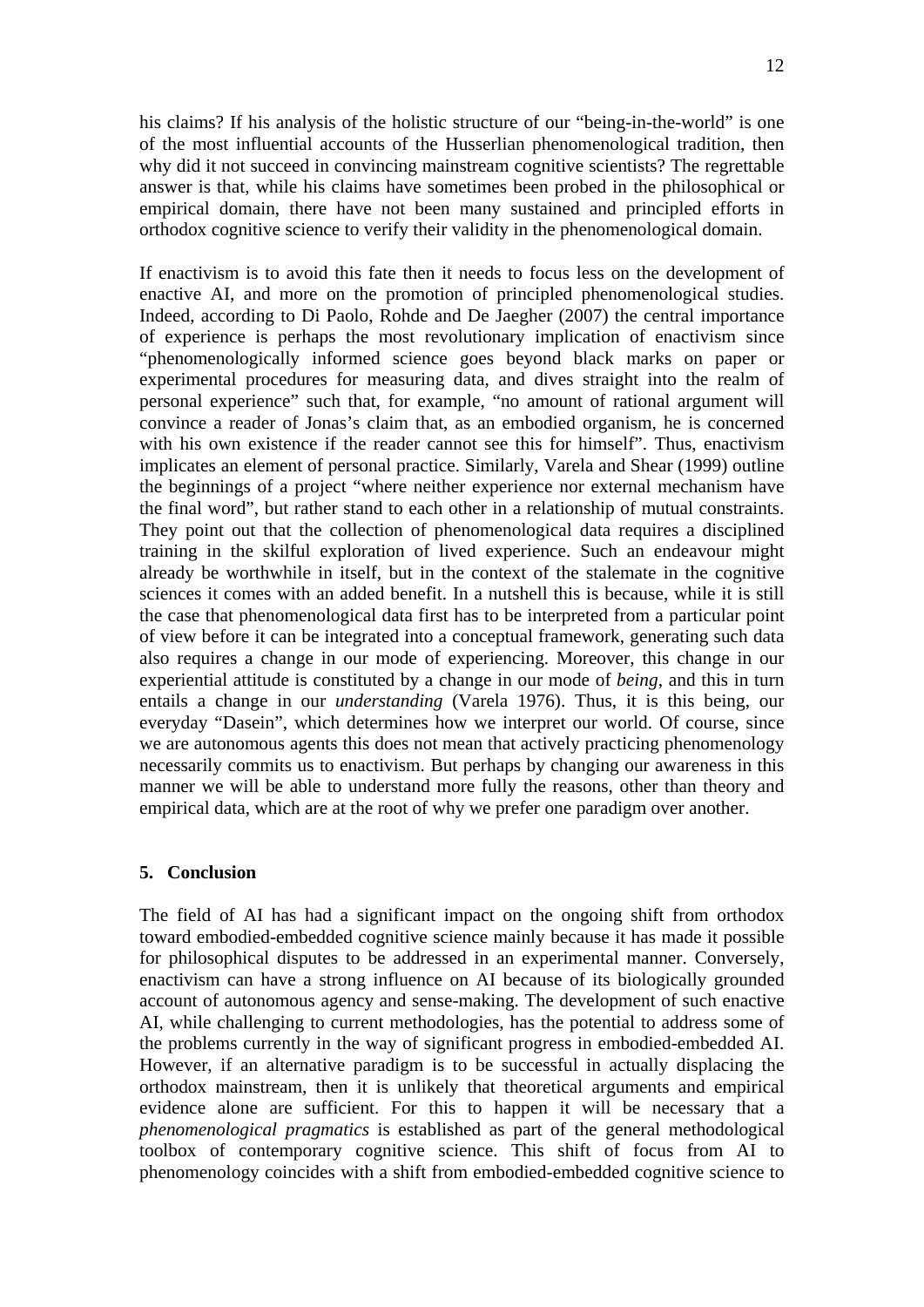his claims? If his analysis of the holistic structure of our "being-in-the-world" is one of the most influential accounts of the Husserlian phenomenological tradition, then why did it not succeed in convincing mainstream cognitive scientists? The regrettable answer is that, while his claims have sometimes been probed in the philosophical or empirical domain, there have not been many sustained and principled efforts in orthodox cognitive science to verify their validity in the phenomenological domain.

If enactivism is to avoid this fate then it needs to focus less on the development of enactive AI, and more on the promotion of principled phenomenological studies. Indeed, according to Di Paolo, Rohde and De Jaegher (2007) the central importance of experience is perhaps the most revolutionary implication of enactivism since "phenomenologically informed science goes beyond black marks on paper or experimental procedures for measuring data, and dives straight into the realm of personal experience" such that, for example, "no amount of rational argument will convince a reader of Jonas's claim that, as an embodied organism, he is concerned with his own existence if the reader cannot see this for himself". Thus, enactivism implicates an element of personal practice. Similarly, Varela and Shear (1999) outline the beginnings of a project "where neither experience nor external mechanism have the final word", but rather stand to each other in a relationship of mutual constraints. They point out that the collection of phenomenological data requires a disciplined training in the skilful exploration of lived experience. Such an endeavour might already be worthwhile in itself, but in the context of the stalemate in the cognitive sciences it comes with an added benefit. In a nutshell this is because, while it is still the case that phenomenological data first has to be interpreted from a particular point of view before it can be integrated into a conceptual framework, generating such data also requires a change in our mode of experiencing. Moreover, this change in our experiential attitude is constituted by a change in our mode of *being*, and this in turn entails a change in our *understanding* (Varela 1976). Thus, it is this being, our everyday "Dasein", which determines how we interpret our world. Of course, since we are autonomous agents this does not mean that actively practicing phenomenology necessarily commits us to enactivism. But perhaps by changing our awareness in this manner we will be able to understand more fully the reasons, other than theory and empirical data, which are at the root of why we prefer one paradigm over another.

#### **5. Conclusion**

The field of AI has had a significant impact on the ongoing shift from orthodox toward embodied-embedded cognitive science mainly because it has made it possible for philosophical disputes to be addressed in an experimental manner. Conversely, enactivism can have a strong influence on AI because of its biologically grounded account of autonomous agency and sense-making. The development of such enactive AI, while challenging to current methodologies, has the potential to address some of the problems currently in the way of significant progress in embodied-embedded AI. However, if an alternative paradigm is to be successful in actually displacing the orthodox mainstream, then it is unlikely that theoretical arguments and empirical evidence alone are sufficient. For this to happen it will be necessary that a *phenomenological pragmatics* is established as part of the general methodological toolbox of contemporary cognitive science. This shift of focus from AI to phenomenology coincides with a shift from embodied-embedded cognitive science to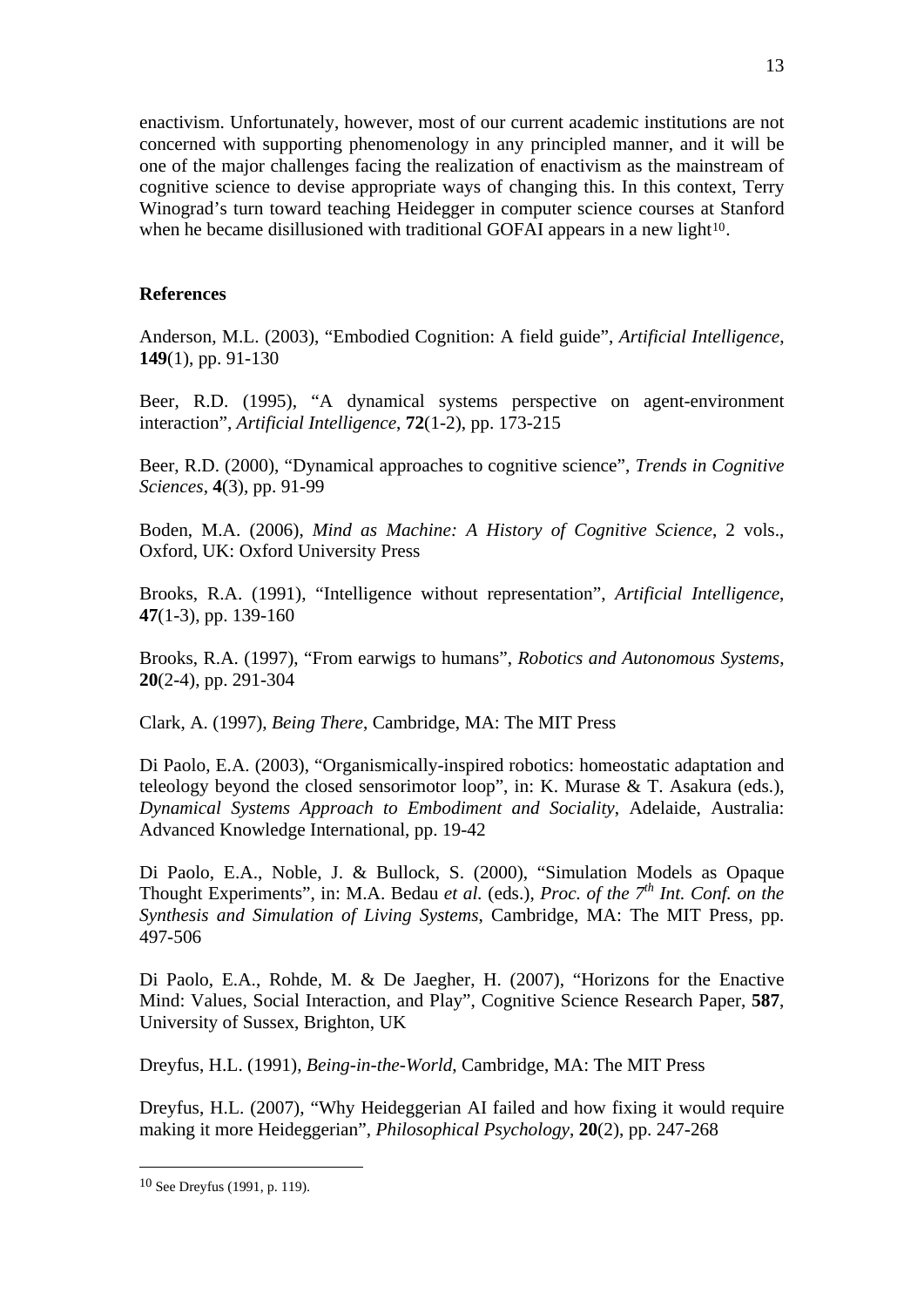enactivism. Unfortunately, however, most of our current academic institutions are not concerned with supporting phenomenology in any principled manner, and it will be one of the major challenges facing the realization of enactivism as the mainstream of cognitive science to devise appropriate ways of changing this. In this context, Terry Winograd's turn toward teaching Heidegger in computer science courses at Stanford when he became disillusioned with traditional GOFAI appears in a new light $10$ .

#### **References**

Anderson, M.L. (2003), "Embodied Cognition: A field guide", *Artificial Intelligence*, **149**(1), pp. 91-130

Beer, R.D. (1995), "A dynamical systems perspective on agent-environment interaction", *Artificial Intelligence*, **72**(1-2), pp. 173-215

Beer, R.D. (2000), "Dynamical approaches to cognitive science", *Trends in Cognitive Sciences*, **4**(3), pp. 91-99

Boden, M.A. (2006), *Mind as Machine: A History of Cognitive Science*, 2 vols., Oxford, UK: Oxford University Press

Brooks, R.A. (1991), "Intelligence without representation", *Artificial Intelligence*, **47**(1-3), pp. 139-160

Brooks, R.A. (1997), "From earwigs to humans", *Robotics and Autonomous Systems*, **20**(2-4), pp. 291-304

Clark, A. (1997), *Being There*, Cambridge, MA: The MIT Press

Di Paolo, E.A. (2003), "Organismically-inspired robotics: homeostatic adaptation and teleology beyond the closed sensorimotor loop", in: K. Murase & T. Asakura (eds.), *Dynamical Systems Approach to Embodiment and Sociality*, Adelaide, Australia: Advanced Knowledge International, pp. 19-42

Di Paolo, E.A., Noble, J. & Bullock, S. (2000), "Simulation Models as Opaque Thought Experiments", in: M.A. Bedau *et al.* (eds.), *Proc. of the 7th Int. Conf. on the Synthesis and Simulation of Living Systems*, Cambridge, MA: The MIT Press, pp. 497-506

Di Paolo, E.A., Rohde, M. & De Jaegher, H. (2007), "Horizons for the Enactive Mind: Values, Social Interaction, and Play", Cognitive Science Research Paper, **587**, University of Sussex, Brighton, UK

Dreyfus, H.L. (1991), *Being-in-the-World*, Cambridge, MA: The MIT Press

Dreyfus, H.L. (2007), "Why Heideggerian AI failed and how fixing it would require making it more Heideggerian", *Philosophical Psychology*, **20**(2), pp. 247-268

13

 $\overline{a}$ 

<span id="page-12-0"></span><sup>10</sup> See Dreyfus (1991, p. 119).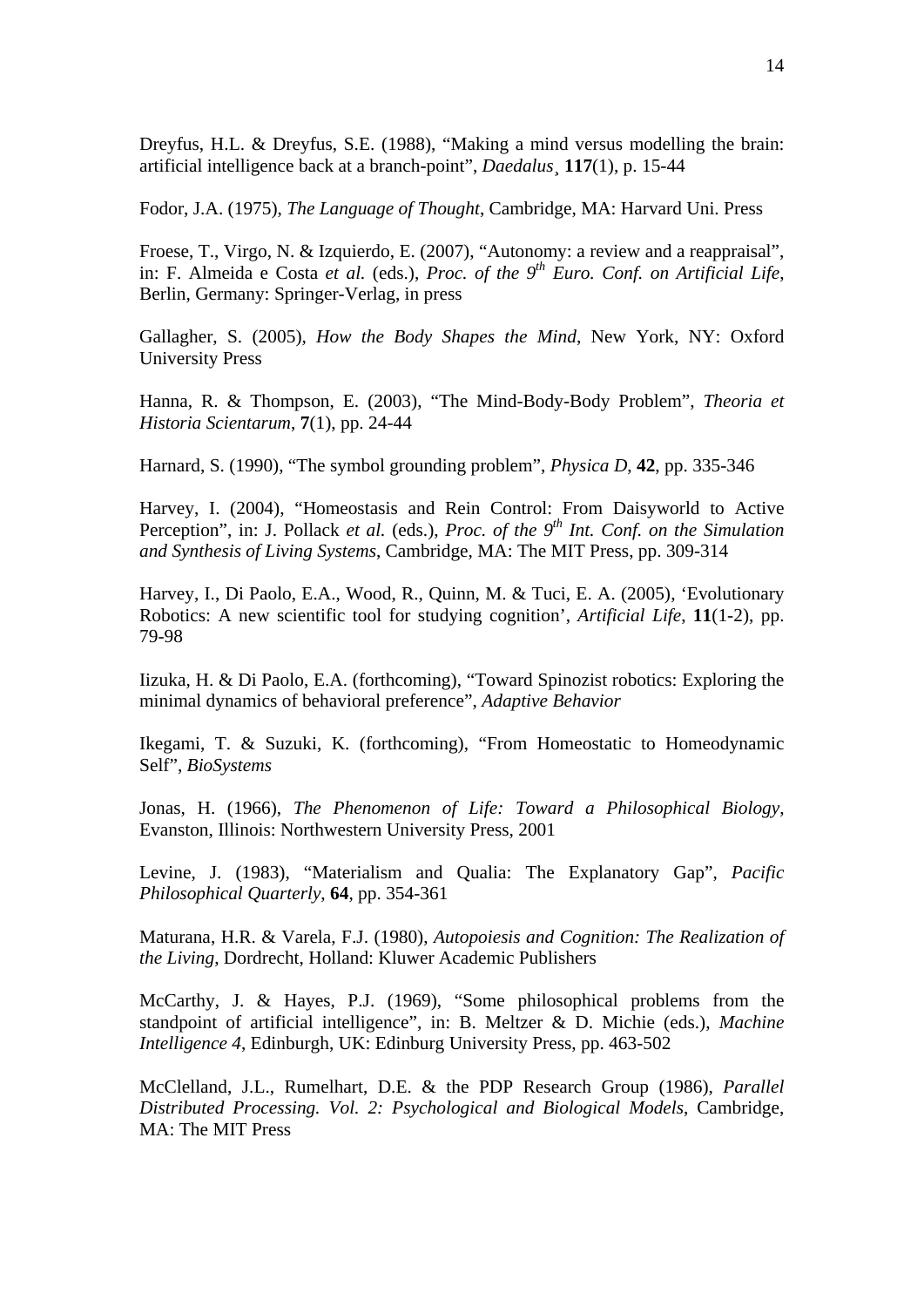Dreyfus, H.L. & Dreyfus, S.E. (1988), "Making a mind versus modelling the brain: artificial intelligence back at a branch-point", *Daedalus*¸ **117**(1), p. 15-44

Fodor, J.A. (1975), *The Language of Thought*, Cambridge, MA: Harvard Uni. Press

Froese, T., Virgo, N. & Izquierdo, E. (2007), "Autonomy: a review and a reappraisal", in: F. Almeida e Costa *et al.* (eds.), *Proc. of the 9th Euro. Conf. on Artificial Life*, Berlin, Germany: Springer-Verlag, in press

Gallagher, S. (2005), *How the Body Shapes the Mind*, New York, NY: Oxford University Press

Hanna, R. & Thompson, E. (2003), "The Mind-Body-Body Problem", *Theoria et Historia Scientarum*, **7**(1), pp. 24-44

Harnard, S. (1990), "The symbol grounding problem", *Physica D*, **42**, pp. 335-346

Harvey, I. (2004), "Homeostasis and Rein Control: From Daisyworld to Active Perception", in: J. Pollack *et al.* (eds.), *Proc. of the 9<sup>th</sup> Int. Conf. on the Simulation and Synthesis of Living Systems*, Cambridge, MA: The MIT Press, pp. 309-314

Harvey, I., Di Paolo, E.A., Wood, R., Quinn, M. & Tuci, E. A. (2005), 'Evolutionary Robotics: A new scientific tool for studying cognition', *Artificial Life*, **11**(1-2), pp. 79-98

Iizuka, H. & Di Paolo, E.A. (forthcoming), "Toward Spinozist robotics: Exploring the minimal dynamics of behavioral preference", *Adaptive Behavior* 

Ikegami, T. & Suzuki, K. (forthcoming), "From Homeostatic to Homeodynamic Self", *BioSystems* 

Jonas, H. (1966), *The Phenomenon of Life: Toward a Philosophical Biology*, Evanston, Illinois: Northwestern University Press, 2001

Levine, J. (1983), "Materialism and Qualia: The Explanatory Gap", *Pacific Philosophical Quarterly*, **64**, pp. 354-361

Maturana, H.R. & Varela, F.J. (1980), *Autopoiesis and Cognition: The Realization of the Living*, Dordrecht, Holland: Kluwer Academic Publishers

McCarthy, J. & Hayes, P.J. (1969), "Some philosophical problems from the standpoint of artificial intelligence", in: B. Meltzer & D. Michie (eds.), *Machine Intelligence 4*, Edinburgh, UK: Edinburg University Press, pp. 463-502

McClelland, J.L., Rumelhart, D.E. & the PDP Research Group (1986), *Parallel Distributed Processing. Vol. 2: Psychological and Biological Models*, Cambridge, MA: The MIT Press